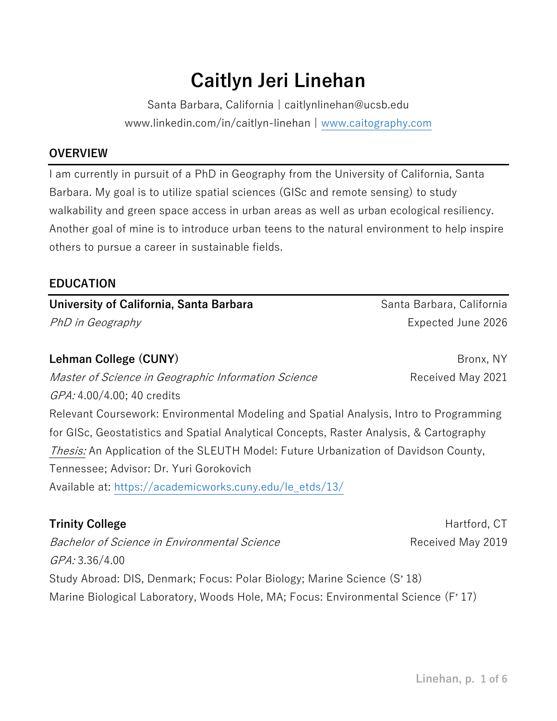# **Caitlyn Jeri Linehan**

Santa Barbara, California | caitlynlinehan@ucsb.edu www.linkedin.com/in/caitlyn-linehan | [www.caitography.com](http://www.caitography.com/)

#### **OVERVIEW**

I am currently in pursuit of a PhD in Geography from the University of California, Santa Barbara. My goal is to utilize spatial sciences (GISc and remote sensing) to study walkability and green space access in urban areas as well as urban ecological resiliency. Another goal of mine is to introduce urban teens to the natural environment to help inspire others to pursue a career in sustainable fields.

#### **EDUCATION**

# **University of California, Santa Barbara Santa Barbara, California** Santa Barbara, California PhD in Geography **Expected June 2026**

**Lehman College (CUNY)** Bronx, NY

*Master of Science in Geographic Information Science* Received May 2021 GPA: 4.00/4.00; 40 credits

Relevant Coursework: Environmental Modeling and Spatial Analysis, Intro to Programming for GISc, Geostatistics and Spatial Analytical Concepts, Raster Analysis, & Cartography Thesis: An Application of the SLEUTH Model: Future Urbanization of Davidson County, Tennessee; Advisor: Dr. Yuri Gorokovich Available at: [https://academicworks.cuny.edu/le\\_etds/13/](https://academicworks.cuny.edu/le_etds/13/)

Bachelor of Science in Environmental Science **Received May 2019** GPA: 3.36/4.00 Study Abroad: DIS, Denmark; Focus: Polar Biology; Marine Science (S' 18) Marine Biological Laboratory, Woods Hole, MA; Focus: Environmental Science (F' 17)

**Trinity College Hartford, CT Hartford, CT**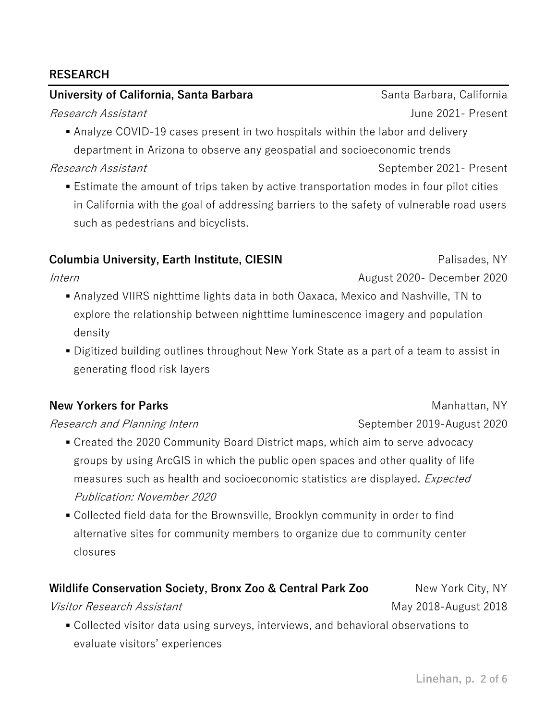#### **RESEARCH**

#### **University of California, Santa Barbara Santa Barbara, California** Santa Barbara, California

■ Analyze COVID-19 cases present in two hospitals within the labor and delivery department in Arizona to observe any geospatial and socioeconomic trends

Research Assistant National September 2021- Present

■ Estimate the amount of trips taken by active transportation modes in four pilot cities in California with the goal of addressing barriers to the safety of vulnerable road users such as pedestrians and bicyclists.

#### **Columbia University, Earth Institute, CIESIN Columbia University, Earth Institute, CIESIN**

Intern

- Analyzed VIIRS nighttime lights data in both Oaxaca, Mexico and Nashville, TN to explore the relationship between nighttime luminescence imagery and population density
- Digitized building outlines throughout New York State as a part of a team to assist in generating flood risk layers

#### **New Yorkers for Parks** Manhattan, NY

Research and Planning Intern September 2019-August 2020

- Created the 2020 Community Board District maps, which aim to serve advocacy groups by using ArcGIS in which the public open spaces and other quality of life measures such as health and socioeconomic statistics are displayed. *Expected* Publication: November 2020
- Collected field data for the Brownsville, Brooklyn community in order to find alternative sites for community members to organize due to community center closures

#### **Wildlife Conservation Society, Bronx Zoo & Central Park Zoo** New York City, NY

Visitor Research Assistant May 2018-August 2018

▪ Collected visitor data using surveys, interviews, and behavioral observations to evaluate visitors' experiences

Research Assistant June 2021- Present

August 2020- December 2020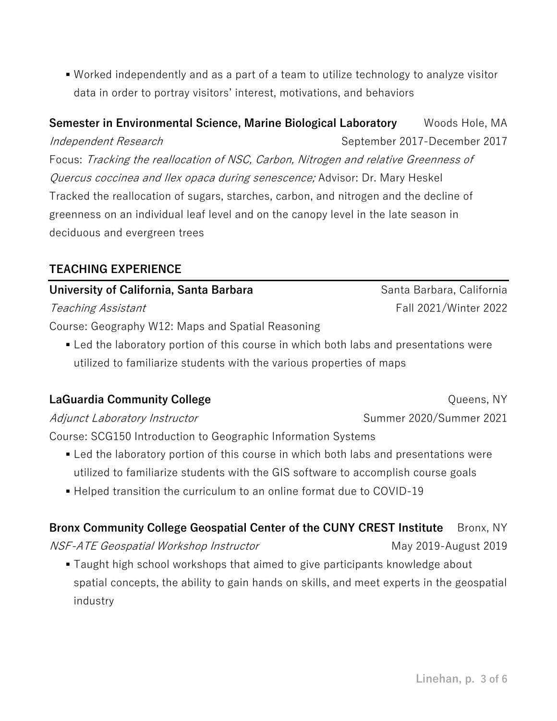■ Worked independently and as a part of a team to utilize technology to analyze visitor data in order to portray visitors' interest, motivations, and behaviors

**Semester in Environmental Science, Marine Biological Laboratory** Woods Hole, MA Independent Research September 2017-December 2017 Focus: Tracking the reallocation of NSC, Carbon, Nitrogen and relative Greenness of Quercus coccinea and Ilex opaca during senescence; Advisor: Dr. Mary Heskel Tracked the reallocation of sugars, starches, carbon, and nitrogen and the decline of greenness on an individual leaf level and on the canopy level in the late season in deciduous and evergreen trees

#### **TEACHING EXPERIENCE**

# **University of California, Santa Barbara Santa Barbara, California** Santa Barbara, California Teaching Assistant Teaching Assistant Course: Geography W12: Maps and Spatial Reasoning

■ Led the laboratory portion of this course in which both labs and presentations were utilized to familiarize students with the various properties of maps

### **LaGuardia Community College Community College Community College Community College Community College Community College Community College Community College Community College Community College Community C**

Adjunct Laboratory Instructor Summer 2020/Summer 2021

Course: SCG150 Introduction to Geographic Information Systems

- Led the laboratory portion of this course in which both labs and presentations were utilized to familiarize students with the GIS software to accomplish course goals
- Helped transition the curriculum to an online format due to COVID-19

# **Bronx Community College Geospatial Center of the CUNY CREST Institute** Bronx, NY

NSF-ATE Geospatial Workshop Instructor May 2019-August 2019

■ Taught high school workshops that aimed to give participants knowledge about spatial concepts, the ability to gain hands on skills, and meet experts in the geospatial industry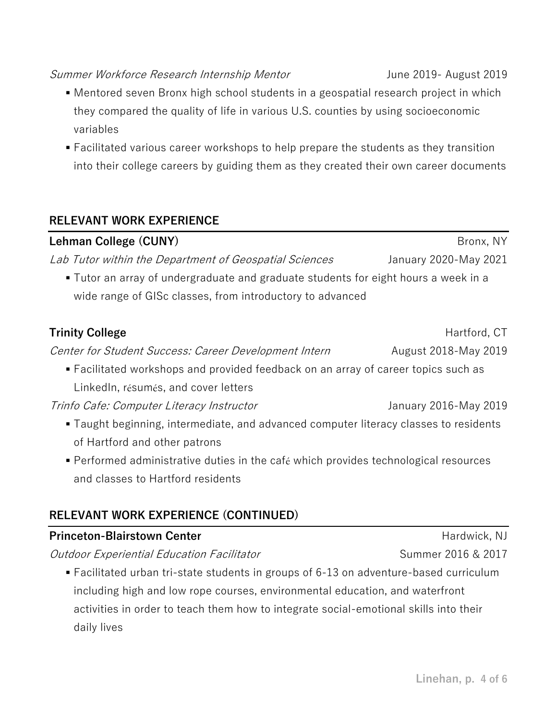#### Summer Workforce Research Internship Mentor Theodores Summer Workforce Research Internship Mentor

- Mentored seven Bronx high school students in a geospatial research project in which they compared the quality of life in various U.S. counties by using socioeconomic variables
- Facilitated various career workshops to help prepare the students as they transition into their college careers by guiding them as they created their own career documents

### **RELEVANT WORK EXPERIENCE**

**Lehman College (CUNY)** Bronx, NY Lab Tutor within the Department of Geospatial Sciences Stanuary 2020-May 2021 ▪ Tutor an array of undergraduate and graduate students for eight hours a week in a wide range of GISc classes, from introductory to advanced **Trinity College** Hartford, CT Center for Student Success: Career Development Intern Fugust 2018-May 2019 ▪ Facilitated workshops and provided feedback on an array of career topics such as LinkedIn, résumés, and cover letters Trinfo Cafe: Computer Literacy Instructor Tring Communisty 2016-May 2019 ■ Taught beginning, intermediate, and advanced computer literacy classes to residents of Hartford and other patrons

▪ Performed administrative duties in the café which provides technological resources and classes to Hartford residents

# **RELEVANT WORK EXPERIENCE (CONTINUED)**

# **Princeton-Blairstown Center Hardwick, NJ** Hardwick, NJ

Outdoor Experiential Education Facilitator Material Summer 2016 & 2017

■ Facilitated urban tri-state students in groups of 6-13 on adventure-based curriculum including high and low rope courses, environmental education, and waterfront activities in order to teach them how to integrate social-emotional skills into their daily lives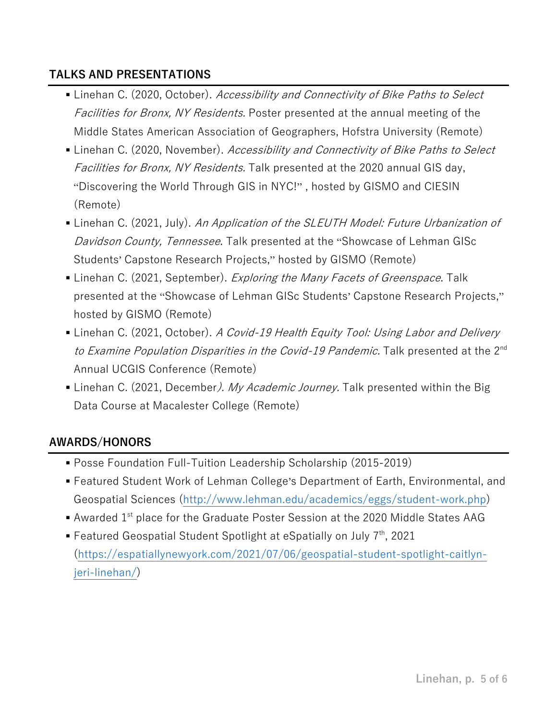# **TALKS AND PRESENTATIONS**

- **Example 1** Linehan C. (2020, October). Accessibility and Connectivity of Bike Paths to Select Facilities for Bronx, NY Residents. Poster presented at the annual meeting of the Middle States American Association of Geographers, Hofstra University (Remote)
- **Example 1** Linehan C. (2020, November). Accessibility and Connectivity of Bike Paths to Select Facilities for Bronx, NY Residents. Talk presented at the 2020 annual GIS day, "Discovering the World Through GIS in NYC!" , hosted by GISMO and CIESIN (Remote)
- **Example 1** Linehan C. (2021, July). An Application of the SLEUTH Model: Future Urbanization of Davidson County, Tennessee. Talk presented at the "Showcase of Lehman GISc Students' Capstone Research Projects," hosted by GISMO (Remote)
- Linehan C. (2021, September). *Exploring the Many Facets of Greenspace*. Talk presented at the "Showcase of Lehman GISc Students' Capstone Research Projects," hosted by GISMO (Remote)
- Linehan C. (2021, October). A Covid-19 Health Equity Tool: Using Labor and Delivery to Examine Population Disparities in the Covid-19 Pandemic. Talk presented at the 2<sup>nd</sup> Annual UCGIS Conference (Remote)
- Linehan C. (2021, December*). My Academic Journey*. Talk presented within the Big Data Course at Macalester College (Remote)

# **AWARDS/HONORS**

- Posse Foundation Full-Tuition Leadership Scholarship (2015-2019)
- Featured Student Work of Lehman College's Department of Earth, Environmental, and Geospatial Sciences [\(http://www.lehman.edu/academics/eggs/student-work.php\)](http://www.lehman.edu/academics/eggs/student-work.php)
- $\blacksquare$  Awarded 1<sup>st</sup> place for the Graduate Poster Session at the 2020 Middle States AAG
- **E** Featured Geospatial Student Spotlight at eSpatially on July  $7<sup>th</sup>$ , 2021 [\(https://espatiallynewyork.com/2021/07/06/geospatial-student-spotlight-caitlyn](https://espatiallynewyork.com/2021/07/06/geospatial-student-spotlight-caitlyn-jeri-linehan/)[jeri-linehan/\)](https://espatiallynewyork.com/2021/07/06/geospatial-student-spotlight-caitlyn-jeri-linehan/)